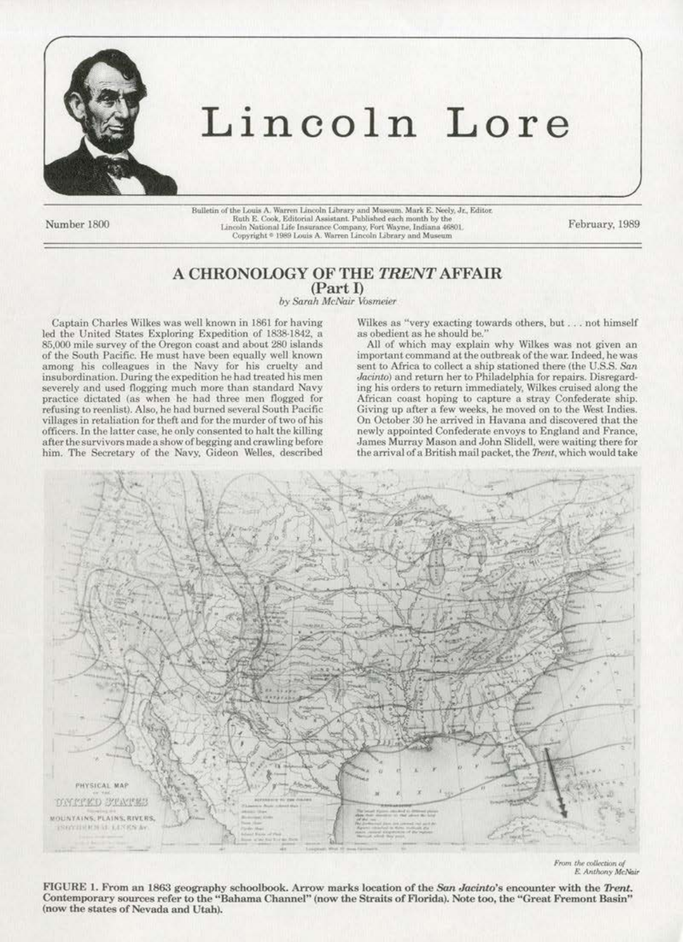

## Lincoln Lore

Number 1800

Bulletin of the Louis A. Warren Lincoln Library and Museum. Mark E. Neely, Jr., Editor Ruth E. Cook, Editorial Assistant. Published each month by the Lincoln National Life Insurance Company, Fort Wayne, Indiana 46801. Copyright <sup>®</sup> 1989 Louis A. Warren Lincoln Library and Museum

February, 1989

## A CHRONOLOGY OF THE TRENT AFFAIR (Part I)

by Sarah McNair Vosmeier

Captain Charles Wilkes was well known in 1861 for having led the United States Exploring Expedition of 1838-1842, a 85,000 mile survey of the Oregon coast and about 280 islands of the South Pacific. He must have been equally well known among his colleagues in the Navy for his cruelty and insubordination. During the expedition he had treated his men severely and used flogging much more than standard Navy practice dictated (as when he had three men flogged for refusing to reenlist). Also, he had burned several South Pacific villages in retaliation for theft and for the murder of two of his officers. In the latter case, he only consented to halt the killing after the survivors made a show of begging and crawling before him. The Secretary of the Navy, Gideon Welles, described

Wilkes as "very exacting towards others, but . . . not himself as obedient as he should be.'

All of which may explain why Wilkes was not given an important command at the outbreak of the war. Indeed, he was sent to Africa to collect a ship stationed there (the U.S.S. San Jacinto) and return her to Philadelphia for repairs. Disregarding his orders to return immediately, Wilkes cruised along the African coast hoping to capture a stray Confederate ship. Giving up after a few weeks, he moved on to the West Indies.<br>On October 30 he arrived in Havana and discovered that the newly appointed Confederate envoys to England and France, James Murray Mason and John Slidell, were waiting there for the arrival of a British mail packet, the Trent, which would take



From the collection of E. Anthony McNair

FIGURE 1. From an 1863 geography schoolbook. Arrow marks location of the San Jacinto's encounter with the Trent. Contemporary sources refer to the "Bahama Channel" (now the Straits of Florida). Note too, the "Great Fremont Basin" (now the states of Nevada and Utah).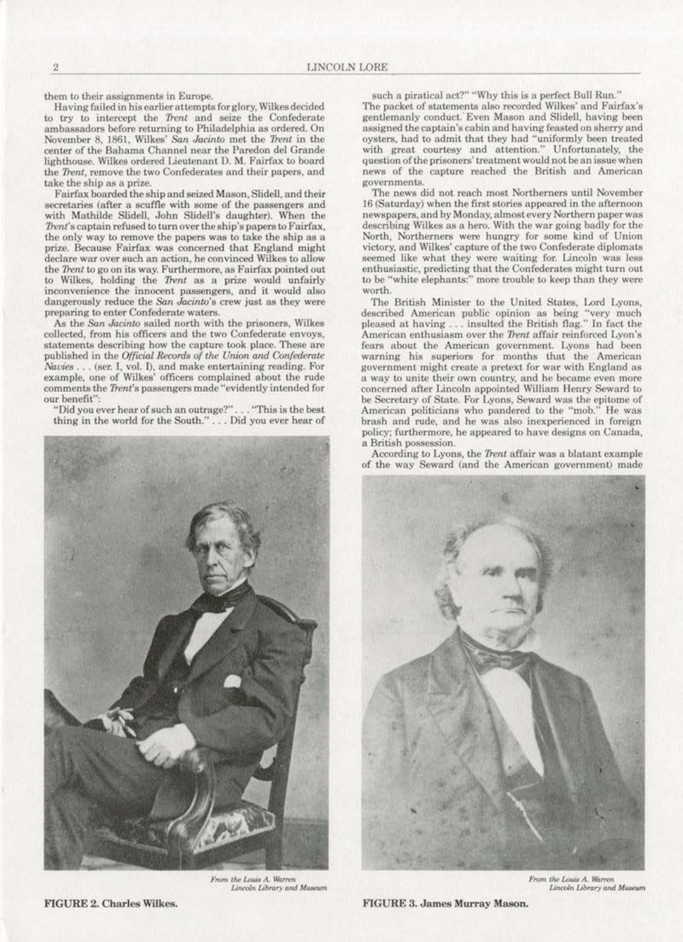them to their assignments in Europe.

Having failed in his earlier attempts for glory, Wilkes decided to try to intercept the Trent and seize the Confederate ambassadors before returning to Philadelphia as ordered. On November 8, 1861, Wilkes' San Jacinto met the Trent in the center of the Bahama Channel near the Paredon del Grande lighthouse. Wilkes ordered Lieutenant D. M. Fairfax to board the Trent, remove the two Confederates and their papers, and take the ship as a prize.

Fairfax boarded the ship and seized Mason, Slidell, and their secretaries (after a scuffle with some of the passengers and with Mathilde Slidell, John Slidell's daughter). When the Trent's captain refused to turn over the ship's papers to Fairfax, the only way to remove the papers was to take the ship as a prize. Because Fairfax was concerned that England might declare war over such an action, he convinced Wilkes to allow the Trent to go on its way. Furthermore, as Fairfax pointed out to Wilkes, holding the Trent as a prize would unfairly inconvenience the innocent passengers, and it would also dangerously reduce the San Jacinto's crew just as they were preparing to enter Confederate waters.

As the San Jacinto sailed north with the prisoners, Wilkes collected, from his officers and the two Confederate envoys, statements describing how the capture took place. These are published in the Official Records of the Union and Confederate Navies . . . (ser. I, vol. I), and make entertaining reading. For example, one of Wilkes' officers complained about the rude comments the Trent's passengers made "evidently intended for our benefit":

"Did you ever hear of such an outrage?"... "This is the best thing in the world for the South." ... Did you ever hear of



From the Louis A. Warren Lincoln Library and Museum

such a piratical act?" "Why this is a perfect Bull Run." The packet of statements also recorded Wilkes' and Fairfax's gentlemanly conduct. Even Mason and Slidell, having been assigned the captain's cabin and having feasted on sherry and oysters, had to admit that they had "uniformly been treated with great courtesy and attention." Unfortunately, the question of the prisoners' treatment would not be an issue when news of the capture reached the British and American governments.

The news did not reach most Northerners until November 16 (Saturday) when the first stories appeared in the afternoon newspapers, and by Monday, almost every Northern paper was describing Wilkes as a hero. With the war going badly for the North, Northerners were hungry for some kind of Union victory, and Wilkes' capture of the two Confederate diplomats seemed like what they were waiting for. Lincoln was less enthusiastic, predicting that the Confederates might turn out to be "white elephants:" more trouble to keep than they were worth.

The British Minister to the United States, Lord Lyons, described American public opinion as being "very much pleased at having ... insulted the British flag." In fact the American enthusiasm over the Trent affair reinforced Lyon's fears about the American government. Lyons had been warning his superiors for months that the American government might create a pretext for war with England as a way to unite their own country, and he became even more concerned after Lincoln appointed William Henry Seward to be Secretary of State. For Lyons, Seward was the epitome of American politicians who pandered to the "mob." He was brash and rude, and he was also inexperienced in foreign policy; furthermore, he appeared to have designs on Canada, a British possession.

According to Lyons, the Trent affair was a blatant example of the way Seward (and the American government) made



From the Louis A. Warren Lincoln Library and Museum

FIGURE 3. James Murray Mason.

**FIGURE 2. Charles Wilkes.**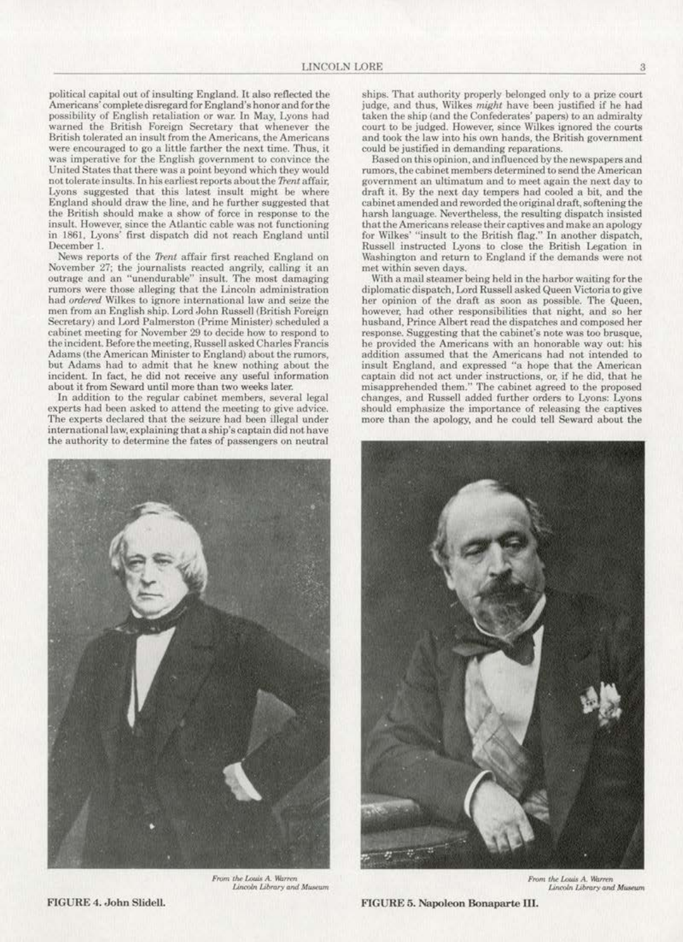political capital out of insulting England. It also reflected the Americans' complete disregard for England's honor and for the possibility of English retaliation or war. In May, Lyons had warned the British Foreign Secretary that whenever the British tolerated an insult from the Americans, the Americans were encouraged to go a little farther the next time. Thus, it was imperative for the English government to convince the United States that there was a point beyond which they would not tolerate insults. In his earliest reports about the Trent affair, Lyons suggested that this latest insult might be where England should draw the line, and he further suggested that the British should make a show of force in response to the insult. However, since the Atlantic cable was not functioning in 1861, Lyons' first dispatch did not reach England until December 1.

News reports of the Trent affair first reached England on November 27; the journalists reacted angrily, calling it an outrage and an "unendurable" insult. The most damaging rumors were those alleging that the Lincoln administration had ordered Wilkes to ignore international law and seize the men from an English ship. Lord John Russell (British Foreign Secretary) and Lord Palmerston (Prime Minister) scheduled a cabinet meeting for November 29 to decide how to respond to the incident. Before the meeting, Russell asked Charles Francis Adams (the American Minister to England) about the rumors, but Adams had to admit that he knew nothing about the incident. In fact, he did not receive any useful information about it from Seward until more than two weeks later.

In addition to the regular cabinet members, several legal experts had been asked to attend the meeting to give advice. The experts declared that the seizure had been illegal under international law, explaining that a ship's captain did not have the authority to determine the fates of passengers on neutral



From the Louis A. Warren Lincoln Library and Museum

ships. That authority properly belonged only to a prize court judge, and thus, Wilkes might have been justified if he had taken the ship (and the Confederates' papers) to an admiralty court to be judged. However, since Wilkes ignored the courts and took the law into his own hands, the British government could be justified in demanding reparations.

Based on this opinion, and influenced by the newspapers and rumors, the cabinet members determined to send the American government an ultimatum and to meet again the next day to draft it. By the next day tempers had cooled a bit, and the cabinet amended and reworded the original draft, softening the harsh language. Nevertheless, the resulting dispatch insisted that the Americans release their captives and make an apology for Wilkes' "insult to the British flag." In another dispatch, Russell instructed Lyons to close the British Legation in Washington and return to England if the demands were not met within seven days.

With a mail steamer being held in the harbor waiting for the diplomatic dispatch, Lord Russell asked Queen Victoria to give her opinion of the draft as soon as possible. The Queen, however, had other responsibilities that night, and so her husband, Prince Albert read the dispatches and composed her response. Suggesting that the cabinet's note was too brusque, he provided the Americans with an honorable way out: his addition assumed that the Americans had not intended to insult England, and expressed "a hope that the American captain did not act under instructions, or, if he did, that he misapprehended them." The cabinet agreed to the proposed changes, and Russell added further orders to Lyons: Lyons should emphasize the importance of releasing the captives more than the apology, and he could tell Seward about the



From the Louis A. Warren Lincoln Library and Museum

FIGURE 5. Napoleon Bonaparte III.

FIGURE 4. John Slidell.